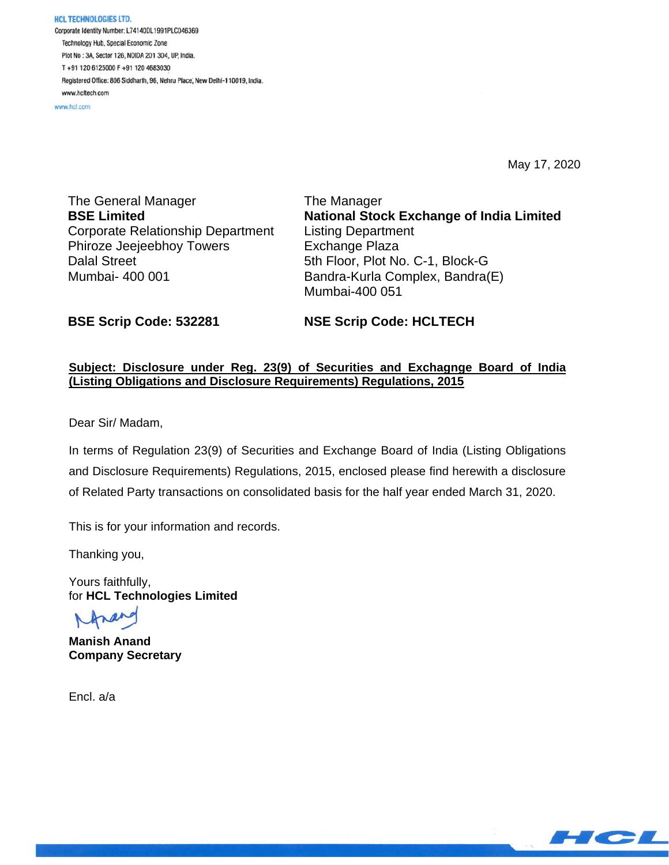**HCL TECHNOLOGIES LTD.** Corporate Identity Number: L74140DL1991PLC046369 Technology Hub, Special Economic Zone Plot No : 3A, Sector 126, NOIDA 201 304, UP, India. T+91 120 6125000 F+91 120 4683030 Registered Office: 806 Siddharth, 96, Nehru Place, New Delhi-110019, India. www.hcltech.com

www.hcl.com

May 17, 2020

The General Manager **BSE Limited**  Corporate Relationship Department Phiroze Jeejeebhoy Towers Dalal Street Mumbai- 400 001

The Manager **National Stock Exchange of India Limited**  Listing Department Exchange Plaza 5th Floor, Plot No. C-1, Block-G Bandra-Kurla Complex, Bandra(E) Mumbai-400 051

**BSE Scrip Code: 532281** 

**NSE Scrip Code: HCLTECH** 

## **Subject: Disclosure under Reg. 23(9) of Securities and Exchagnge Board of India (Listing Obligations and Disclosure Requirements) Regulations, 2015**

Dear Sir/ Madam,

In terms of Regulation 23(9) of Securities and Exchange Board of India (Listing Obligations and Disclosure Requirements) Regulations, 2015, enclosed please find herewith a disclosure of Related Party transactions on consolidated basis for the half year ended March 31, 2020.

This is for your information and records.

Thanking you,

Yours faithfully, for **HCL Technologies Limited** 

**Manish Anand Company Secretary** 

Encl. a/a

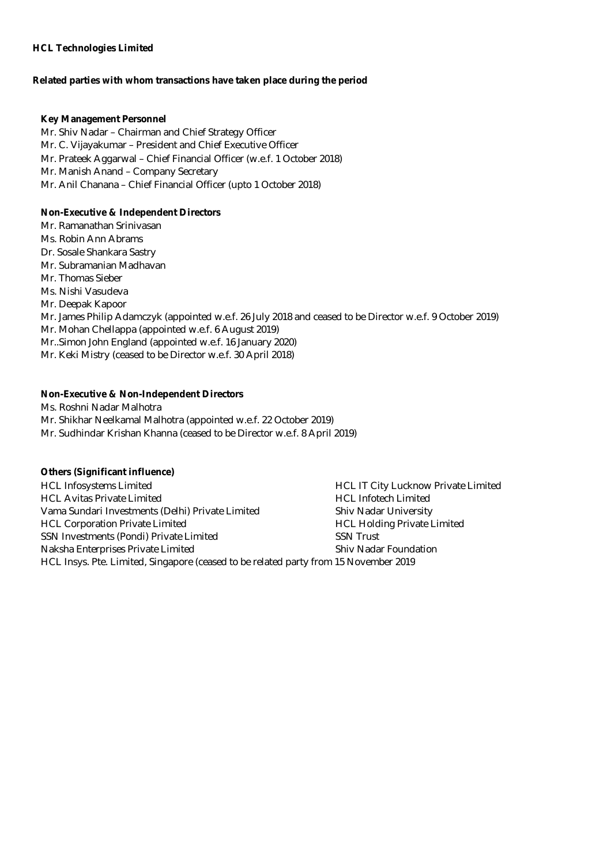## **HCL Technologies Limited**

#### **Related parties with whom transactions have taken place during the period**

#### **Key Management Personnel**

Mr. Shiv Nadar – Chairman and Chief Strategy Officer Mr. C. Vijayakumar – President and Chief Executive Officer Mr. Prateek Aggarwal – Chief Financial Officer (w.e.f. 1 October 2018) Mr. Manish Anand – Company Secretary Mr. Anil Chanana – Chief Financial Officer (upto 1 October 2018)

## **Non-Executive & Independent Directors**

- Mr. Ramanathan Srinivasan
- Ms. Robin Ann Abrams
- Dr. Sosale Shankara Sastry
- Mr. Subramanian Madhavan
- Mr. Thomas Sieber
- Ms. Nishi Vasudeva
- Mr. Deepak Kapoor
- Mr. James Philip Adamczyk (appointed w.e.f. 26 July 2018 and ceased to be Director w.e.f. 9 October 2019)
- Mr. Mohan Chellappa (appointed w.e.f. 6 August 2019)
- Mr..Simon John England (appointed w.e.f. 16 January 2020)
- Mr. Keki Mistry (ceased to be Director w.e.f. 30 April 2018)

## **Non-Executive & Non-Independent Directors**

- Ms. Roshni Nadar Malhotra
- Mr. Shikhar Neelkamal Malhotra (appointed w.e.f. 22 October 2019)
- Mr. Sudhindar Krishan Khanna (ceased to be Director w.e.f. 8 April 2019)

## **Others (Significant influence)**

| <b>HCL Infosystems Limited</b>                                                       | <b>HCL IT City Lucknow Private Limited</b> |
|--------------------------------------------------------------------------------------|--------------------------------------------|
| <b>HCL Avitas Private Limited</b>                                                    | <b>HCL Infotech Limited</b>                |
| Vama Sundari Investments (Delhi) Private Limited                                     | <b>Shiv Nadar University</b>               |
| <b>HCL Corporation Private Limited</b>                                               | <b>HCL Holding Private Limited</b>         |
| SSN Investments (Pondi) Private Limited                                              | <b>SSN Trust</b>                           |
| Naksha Enterprises Private Limited                                                   | <b>Shiv Nadar Foundation</b>               |
| HCL Insys. Pte. Limited, Singapore (ceased to be related party from 15 November 2019 |                                            |